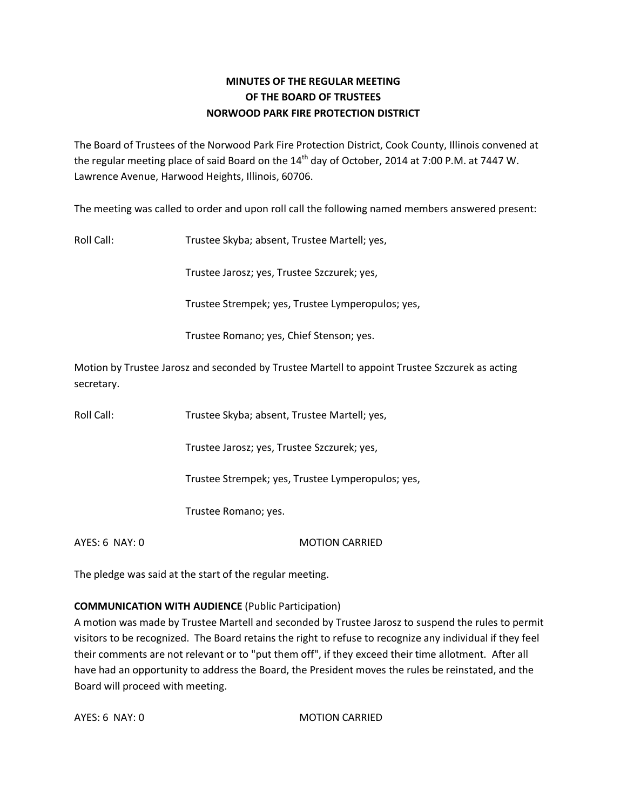## **MINUTES OF THE REGULAR MEETING OF THE BOARD OF TRUSTEES NORWOOD PARK FIRE PROTECTION DISTRICT**

The Board of Trustees of the Norwood Park Fire Protection District, Cook County, Illinois convened at the regular meeting place of said Board on the  $14<sup>th</sup>$  day of October, 2014 at 7:00 P.M. at 7447 W. Lawrence Avenue, Harwood Heights, Illinois, 60706.

The meeting was called to order and upon roll call the following named members answered present:

Roll Call: Trustee Skyba; absent, Trustee Martell; yes,

Trustee Jarosz; yes, Trustee Szczurek; yes,

Trustee Strempek; yes, Trustee Lymperopulos; yes,

Trustee Romano; yes, Chief Stenson; yes.

Motion by Trustee Jarosz and seconded by Trustee Martell to appoint Trustee Szczurek as acting secretary.

Roll Call: Trustee Skyba; absent, Trustee Martell; yes,

Trustee Jarosz; yes, Trustee Szczurek; yes,

Trustee Strempek; yes, Trustee Lymperopulos; yes,

Trustee Romano; yes.

AYES: 6 NAY: 0 MOTION CARRIED

The pledge was said at the start of the regular meeting.

#### **COMMUNICATION WITH AUDIENCE** (Public Participation)

A motion was made by Trustee Martell and seconded by Trustee Jarosz to suspend the rules to permit visitors to be recognized. The Board retains the right to refuse to recognize any individual if they feel their comments are not relevant or to "put them off", if they exceed their time allotment. After all have had an opportunity to address the Board, the President moves the rules be reinstated, and the Board will proceed with meeting.

AYES: 6 NAY: 0 MOTION CARRIED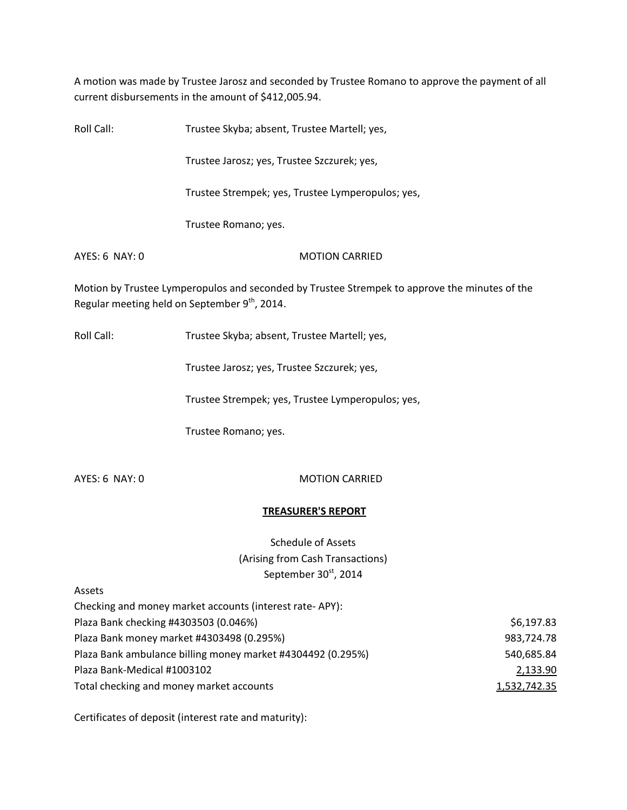A motion was made by Trustee Jarosz and seconded by Trustee Romano to approve the payment of all current disbursements in the amount of \$412,005.94.

| Roll Call:       | Trustee Skyba; absent, Trustee Martell; yes,                                                  |
|------------------|-----------------------------------------------------------------------------------------------|
|                  | Trustee Jarosz; yes, Trustee Szczurek; yes,                                                   |
|                  | Trustee Strempek; yes, Trustee Lymperopulos; yes,                                             |
|                  | Trustee Romano; yes.                                                                          |
| $AYES: 6$ NAY: 0 | <b>MOTION CARRIED</b>                                                                         |
|                  | Motion by Trustee Lymperopulos and seconded by Trustee Strempek to approve the minutes of the |

Regular meeting held on September  $9<sup>th</sup>$ , 2014.

Roll Call: Trustee Skyba; absent, Trustee Martell; yes,

Trustee Jarosz; yes, Trustee Szczurek; yes,

Trustee Strempek; yes, Trustee Lymperopulos; yes,

Trustee Romano; yes.

AYES: 6 NAY: 0 MOTION CARRIED

### **TREASURER'S REPORT**

# Schedule of Assets (Arising from Cash Transactions) September 30<sup>st</sup>, 2014

Assets

| Checking and money market accounts (interest rate-APY):     |              |
|-------------------------------------------------------------|--------------|
| Plaza Bank checking #4303503 (0.046%)                       | \$6,197.83   |
| Plaza Bank money market #4303498 (0.295%)                   | 983,724.78   |
| Plaza Bank ambulance billing money market #4304492 (0.295%) | 540,685.84   |
| Plaza Bank-Medical #1003102                                 | 2,133.90     |
| Total checking and money market accounts                    | 1,532,742.35 |

Certificates of deposit (interest rate and maturity):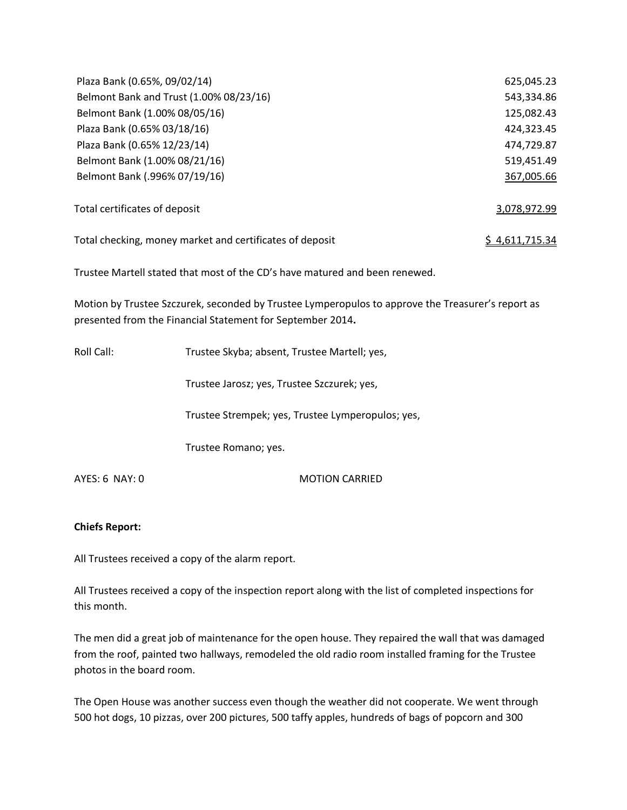| Plaza Bank (0.65%, 09/02/14)                             | 625,045.23     |
|----------------------------------------------------------|----------------|
| Belmont Bank and Trust (1.00% 08/23/16)                  | 543,334.86     |
| Belmont Bank (1.00% 08/05/16)                            | 125,082.43     |
| Plaza Bank (0.65% 03/18/16)                              | 424,323.45     |
| Plaza Bank (0.65% 12/23/14)                              | 474,729.87     |
| Belmont Bank (1.00% 08/21/16)                            | 519,451.49     |
| Belmont Bank (.996% 07/19/16)                            | 367,005.66     |
| Total certificates of deposit                            | 3,078,972.99   |
| Total checking, money market and certificates of deposit | \$4,611,715.34 |

Trustee Martell stated that most of the CD's have matured and been renewed.

Motion by Trustee Szczurek, seconded by Trustee Lymperopulos to approve the Treasurer's report as presented from the Financial Statement for September 2014**.** 

Roll Call: Trustee Skyba; absent, Trustee Martell; yes,

Trustee Jarosz; yes, Trustee Szczurek; yes,

Trustee Strempek; yes, Trustee Lymperopulos; yes,

Trustee Romano; yes.

AYES: 6 NAY: 0 MOTION CARRIED

#### **Chiefs Report:**

All Trustees received a copy of the alarm report.

All Trustees received a copy of the inspection report along with the list of completed inspections for this month.

The men did a great job of maintenance for the open house. They repaired the wall that was damaged from the roof, painted two hallways, remodeled the old radio room installed framing for the Trustee photos in the board room.

The Open House was another success even though the weather did not cooperate. We went through 500 hot dogs, 10 pizzas, over 200 pictures, 500 taffy apples, hundreds of bags of popcorn and 300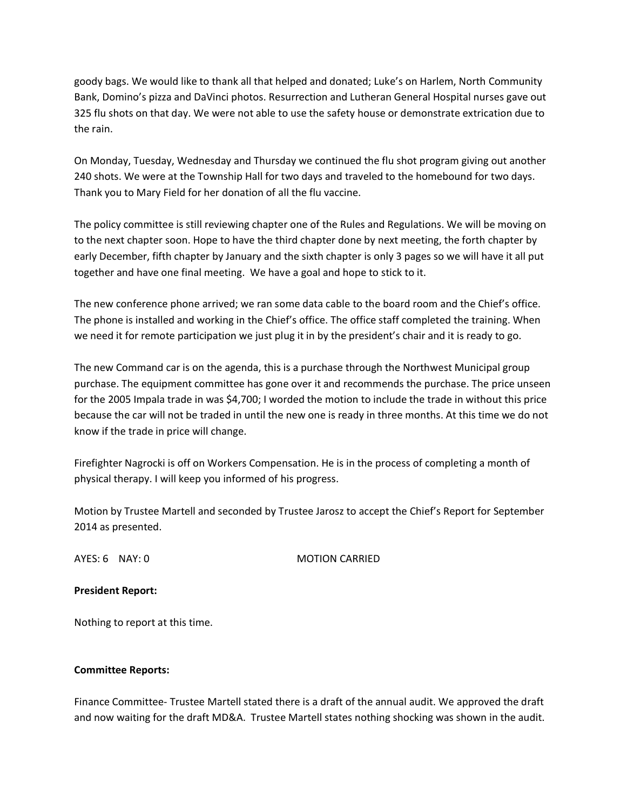goody bags. We would like to thank all that helped and donated; Luke's on Harlem, North Community Bank, Domino's pizza and DaVinci photos. Resurrection and Lutheran General Hospital nurses gave out 325 flu shots on that day. We were not able to use the safety house or demonstrate extrication due to the rain.

On Monday, Tuesday, Wednesday and Thursday we continued the flu shot program giving out another 240 shots. We were at the Township Hall for two days and traveled to the homebound for two days. Thank you to Mary Field for her donation of all the flu vaccine.

The policy committee is still reviewing chapter one of the Rules and Regulations. We will be moving on to the next chapter soon. Hope to have the third chapter done by next meeting, the forth chapter by early December, fifth chapter by January and the sixth chapter is only 3 pages so we will have it all put together and have one final meeting. We have a goal and hope to stick to it.

The new conference phone arrived; we ran some data cable to the board room and the Chief's office. The phone is installed and working in the Chief's office. The office staff completed the training. When we need it for remote participation we just plug it in by the president's chair and it is ready to go.

The new Command car is on the agenda, this is a purchase through the Northwest Municipal group purchase. The equipment committee has gone over it and recommends the purchase. The price unseen for the 2005 Impala trade in was \$4,700; I worded the motion to include the trade in without this price because the car will not be traded in until the new one is ready in three months. At this time we do not know if the trade in price will change.

Firefighter Nagrocki is off on Workers Compensation. He is in the process of completing a month of physical therapy. I will keep you informed of his progress.

Motion by Trustee Martell and seconded by Trustee Jarosz to accept the Chief's Report for September 2014 as presented.

AYES: 6 NAY: 0 MOTION CARRIED

#### **President Report:**

Nothing to report at this time.

#### **Committee Reports:**

Finance Committee- Trustee Martell stated there is a draft of the annual audit. We approved the draft and now waiting for the draft MD&A. Trustee Martell states nothing shocking was shown in the audit.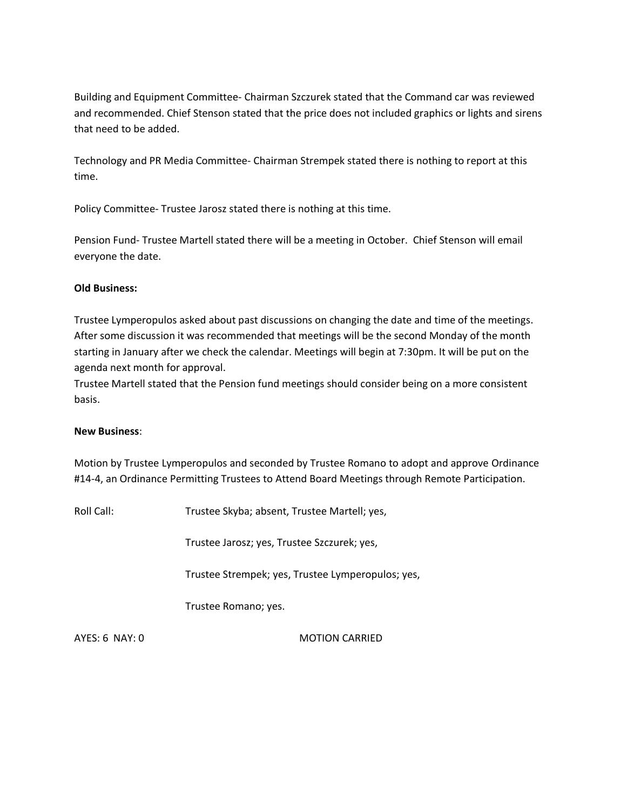Building and Equipment Committee- Chairman Szczurek stated that the Command car was reviewed and recommended. Chief Stenson stated that the price does not included graphics or lights and sirens that need to be added.

Technology and PR Media Committee- Chairman Strempek stated there is nothing to report at this time.

Policy Committee- Trustee Jarosz stated there is nothing at this time.

Pension Fund- Trustee Martell stated there will be a meeting in October. Chief Stenson will email everyone the date.

#### **Old Business:**

Trustee Lymperopulos asked about past discussions on changing the date and time of the meetings. After some discussion it was recommended that meetings will be the second Monday of the month starting in January after we check the calendar. Meetings will begin at 7:30pm. It will be put on the agenda next month for approval.

Trustee Martell stated that the Pension fund meetings should consider being on a more consistent basis.

#### **New Business**:

Motion by Trustee Lymperopulos and seconded by Trustee Romano to adopt and approve Ordinance #14-4, an Ordinance Permitting Trustees to Attend Board Meetings through Remote Participation.

Roll Call: Trustee Skyba; absent, Trustee Martell; yes,

Trustee Jarosz; yes, Trustee Szczurek; yes,

Trustee Strempek; yes, Trustee Lymperopulos; yes,

Trustee Romano; yes.

AYES: 6 NAY: 0 MOTION CARRIED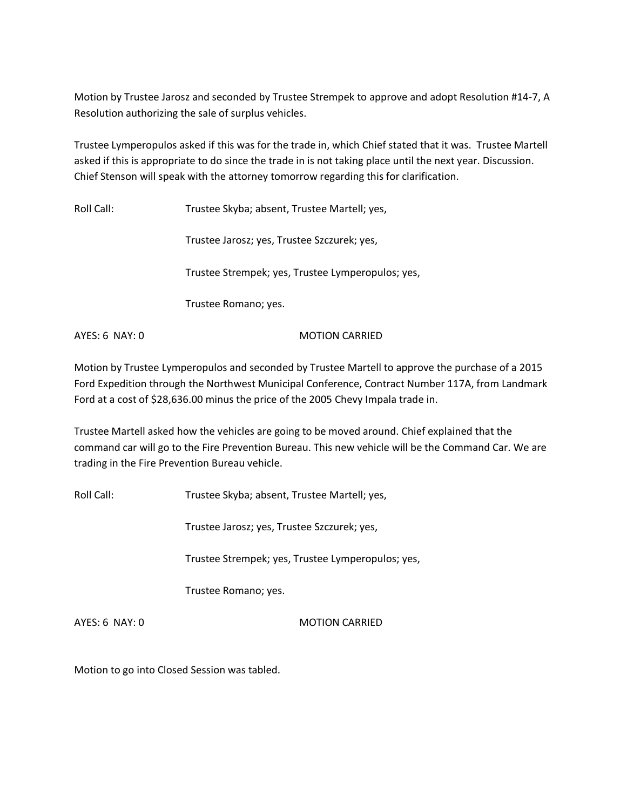Motion by Trustee Jarosz and seconded by Trustee Strempek to approve and adopt Resolution #14-7, A Resolution authorizing the sale of surplus vehicles.

Trustee Lymperopulos asked if this was for the trade in, which Chief stated that it was. Trustee Martell asked if this is appropriate to do since the trade in is not taking place until the next year. Discussion. Chief Stenson will speak with the attorney tomorrow regarding this for clarification.

Roll Call: Trustee Skyba; absent, Trustee Martell; yes,

Trustee Jarosz; yes, Trustee Szczurek; yes,

Trustee Strempek; yes, Trustee Lymperopulos; yes,

Trustee Romano; yes.

AYES: 6 NAY: 0 MOTION CARRIED

Motion by Trustee Lymperopulos and seconded by Trustee Martell to approve the purchase of a 2015 Ford Expedition through the Northwest Municipal Conference, Contract Number 117A, from Landmark Ford at a cost of \$28,636.00 minus the price of the 2005 Chevy Impala trade in.

Trustee Martell asked how the vehicles are going to be moved around. Chief explained that the command car will go to the Fire Prevention Bureau. This new vehicle will be the Command Car. We are trading in the Fire Prevention Bureau vehicle.

Roll Call: Trustee Skyba; absent, Trustee Martell; yes,

Trustee Jarosz; yes, Trustee Szczurek; yes,

Trustee Strempek; yes, Trustee Lymperopulos; yes,

Trustee Romano; yes.

AYES: 6 NAY: 0 MOTION CARRIED

Motion to go into Closed Session was tabled.